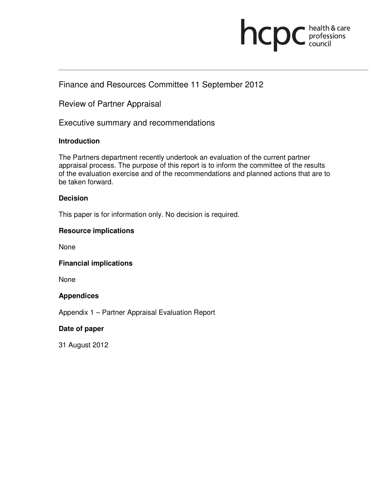# **INCDC** *c*health & care

# Finance and Resources Committee 11 September 2012

Review of Partner Appraisal

Executive summary and recommendations

#### **Introduction**

The Partners department recently undertook an evaluation of the current partner appraisal process. The purpose of this report is to inform the committee of the results of the evaluation exercise and of the recommendations and planned actions that are to be taken forward.

#### **Decision**

This paper is for information only. No decision is required.

#### **Resource implications**

None

**Financial implications** 

None

#### **Appendices**

Appendix 1 – Partner Appraisal Evaluation Report

#### **Date of paper**

31 August 2012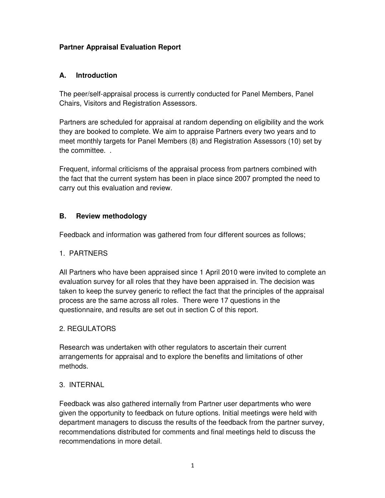# **Partner Appraisal Evaluation Report**

#### **A. Introduction**

The peer/self-appraisal process is currently conducted for Panel Members, Panel Chairs, Visitors and Registration Assessors.

Partners are scheduled for appraisal at random depending on eligibility and the work they are booked to complete. We aim to appraise Partners every two years and to meet monthly targets for Panel Members (8) and Registration Assessors (10) set by the committee. .

Frequent, informal criticisms of the appraisal process from partners combined with the fact that the current system has been in place since 2007 prompted the need to carry out this evaluation and review.

# **B. Review methodology**

Feedback and information was gathered from four different sources as follows;

#### 1. PARTNERS

All Partners who have been appraised since 1 April 2010 were invited to complete an evaluation survey for all roles that they have been appraised in. The decision was taken to keep the survey generic to reflect the fact that the principles of the appraisal process are the same across all roles. There were 17 questions in the questionnaire, and results are set out in section C of this report.

#### 2. REGULATORS

Research was undertaken with other regulators to ascertain their current arrangements for appraisal and to explore the benefits and limitations of other methods.

#### 3. INTERNAL

Feedback was also gathered internally from Partner user departments who were given the opportunity to feedback on future options. Initial meetings were held with department managers to discuss the results of the feedback from the partner survey, recommendations distributed for comments and final meetings held to discuss the recommendations in more detail.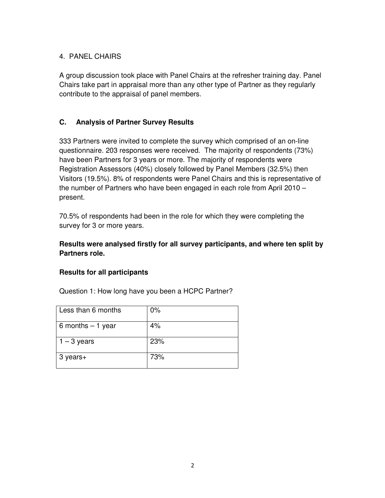# 4. PANEL CHAIRS

A group discussion took place with Panel Chairs at the refresher training day. Panel Chairs take part in appraisal more than any other type of Partner as they regularly contribute to the appraisal of panel members.

# **C. Analysis of Partner Survey Results**

333 Partners were invited to complete the survey which comprised of an on-line questionnaire. 203 responses were received. The majority of respondents (73%) have been Partners for 3 years or more. The majority of respondents were Registration Assessors (40%) closely followed by Panel Members (32.5%) then Visitors (19.5%). 8% of respondents were Panel Chairs and this is representative of the number of Partners who have been engaged in each role from April 2010 – present.

70.5% of respondents had been in the role for which they were completing the survey for 3 or more years.

# **Results were analysed firstly for all survey participants, and where ten split by Partners role.**

#### **Results for all participants**

Question 1: How long have you been a HCPC Partner?

| Less than 6 months | 0%  |
|--------------------|-----|
| 6 months $-1$ year | 4%  |
| $1 - 3$ years      | 23% |
| 3 years+           | 73% |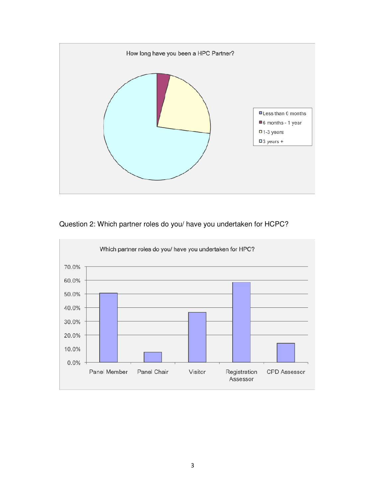

# Question 2: Which partner roles do you/ have you undertaken for HCPC?

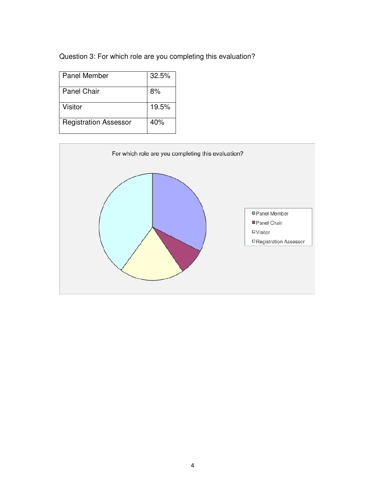Question 3: For which role are you completing this evaluation?

| Panel Member                 | 32.5% |
|------------------------------|-------|
| <b>Panel Chair</b>           | 8%    |
| Visitor                      | 19.5% |
| <b>Registration Assessor</b> | 40%   |

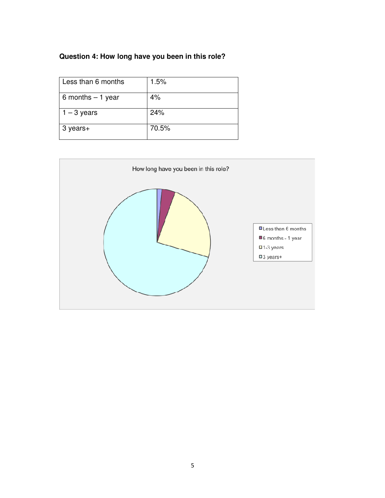# **Question 4: How long have you been in this role?**

| Less than 6 months | 1.5%  |
|--------------------|-------|
| 6 months $-1$ year | 4%    |
| $1 - 3$ years      | 24%   |
| 3 years+           | 70.5% |

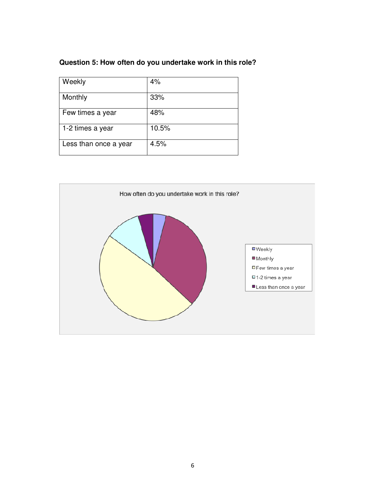# **Question 5: How often do you undertake work in this role?**

| Weekly                | 4%    |
|-----------------------|-------|
| Monthly               | 33%   |
| Few times a year      | 48%   |
| 1-2 times a year      | 10.5% |
| Less than once a year | 4.5%  |

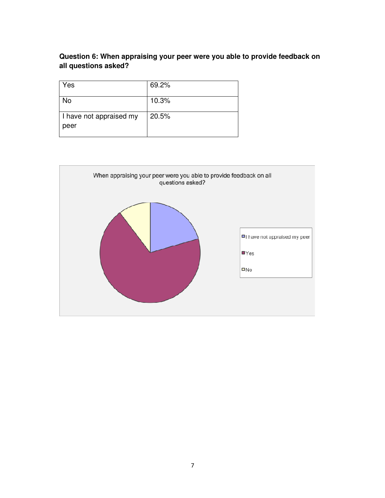# **Question 6: When appraising your peer were you able to provide feedback on all questions asked?**

| Yes                             | 69.2% |
|---------------------------------|-------|
| No                              | 10.3% |
| I have not appraised my<br>peer | 20.5% |

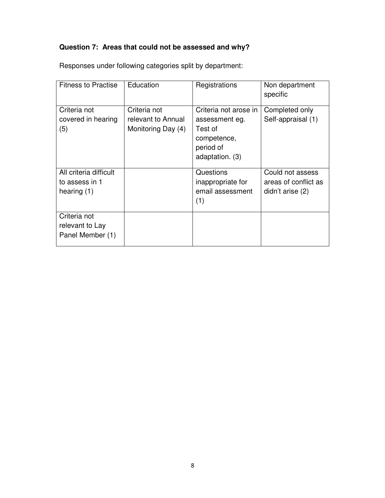# **Question 7: Areas that could not be assessed and why?**

| <b>Fitness to Practise</b>                                | Education                                                | Registrations                                                                                     | Non department<br>specific                                   |
|-----------------------------------------------------------|----------------------------------------------------------|---------------------------------------------------------------------------------------------------|--------------------------------------------------------------|
| Criteria not<br>covered in hearing<br>(5)                 | Criteria not<br>relevant to Annual<br>Monitoring Day (4) | Criteria not arose in<br>assessment eg.<br>Test of<br>competence,<br>period of<br>adaptation. (3) | Completed only<br>Self-appraisal (1)                         |
| All criteria difficult<br>to assess in 1<br>hearing $(1)$ |                                                          | Questions<br>inappropriate for<br>email assessment<br>(1)                                         | Could not assess<br>areas of conflict as<br>didn't arise (2) |
| Criteria not<br>relevant to Lay<br>Panel Member (1)       |                                                          |                                                                                                   |                                                              |

Responses under following categories split by department: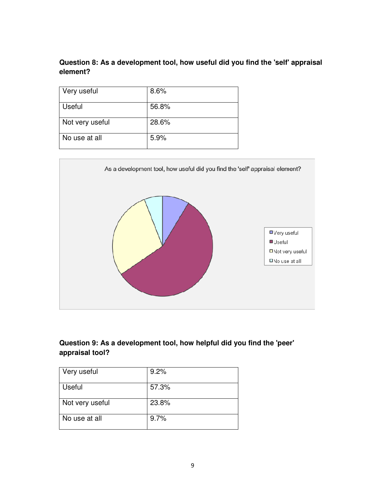# **Question 8: As a development tool, how useful did you find the 'self' appraisal element?**

| Very useful     | 8.6%  |
|-----------------|-------|
| <b>Useful</b>   | 56.8% |
| Not very useful | 28.6% |
| No use at all   | 5.9%  |



# **Question 9: As a development tool, how helpful did you find the 'peer' appraisal tool?**

| Very useful     | 9.2%  |
|-----------------|-------|
| Useful          | 57.3% |
| Not very useful | 23.8% |
| No use at all   | 9.7%  |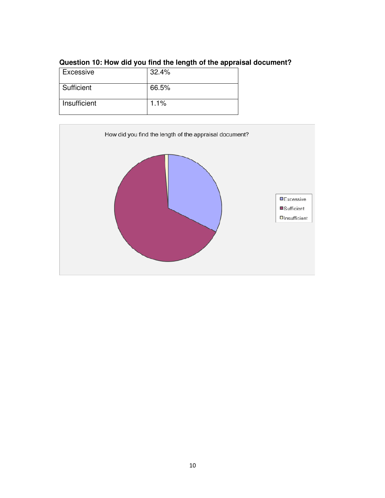| Excessive    | 32.4% |
|--------------|-------|
|              |       |
| Sufficient   | 66.5% |
|              |       |
|              |       |
|              |       |
| Insufficient | 1.1%  |
|              |       |
|              |       |

# **Question 10: How did you find the length of the appraisal document?**

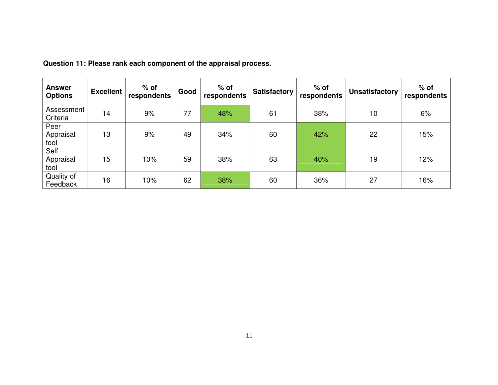| <b>Answer</b><br><b>Options</b> | <b>Excellent</b> | $%$ of<br>respondents | Good | $%$ of<br>respondents | <b>Satisfactory</b> | $%$ of<br>respondents | <b>Unsatisfactory</b> | $%$ of<br>respondents |
|---------------------------------|------------------|-----------------------|------|-----------------------|---------------------|-----------------------|-----------------------|-----------------------|
| Assessment<br>Criteria          | 14               | 9%                    | 77   | 48%                   | 61                  | 38%                   | 10                    | 6%                    |
| Peer<br>Appraisal<br>tool       | 13               | 9%                    | 49   | 34%                   | 60                  | 42%                   | 22                    | 15%                   |
| Self<br>Appraisal<br>tool       | 15               | 10%                   | 59   | 38%                   | 63                  | 40%                   | 19                    | 12%                   |
| Quality of<br>Feedback          | 16               | 10%                   | 62   | 38%                   | 60                  | 36%                   | 27                    | 16%                   |

**Question 11: Please rank each component of the appraisal process.**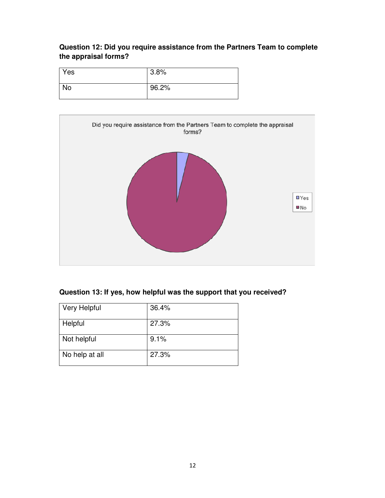# **Question 12: Did you require assistance from the Partners Team to complete the appraisal forms?**

| Yes | 3.8%  |
|-----|-------|
| No  | 96.2% |



# **Question 13: If yes, how helpful was the support that you received?**

| <b>Very Helpful</b> | 36.4% |
|---------------------|-------|
| Helpful             | 27.3% |
| Not helpful         | 9.1%  |
| No help at all      | 27.3% |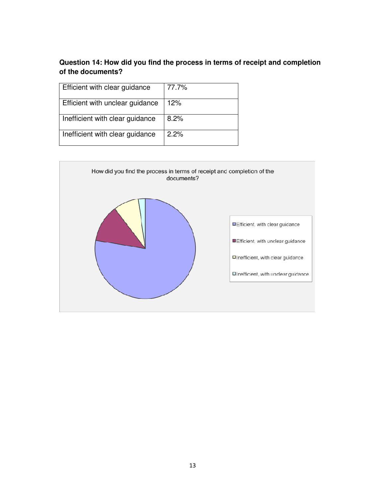# **Question 14: How did you find the process in terms of receipt and completion of the documents?**

| Efficient with clear guidance   | 77.7% |
|---------------------------------|-------|
| Efficient with unclear guidance | 12%   |
| Inefficient with clear guidance | 8.2%  |
| Inefficient with clear guidance | 2.2%  |

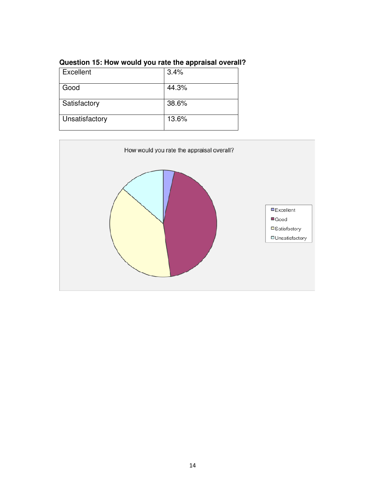| Excellent      | 3.4%  |
|----------------|-------|
| Good           | 44.3% |
| Satisfactory   | 38.6% |
| Unsatisfactory | 13.6% |

# **Question 15: How would you rate the appraisal overall?**

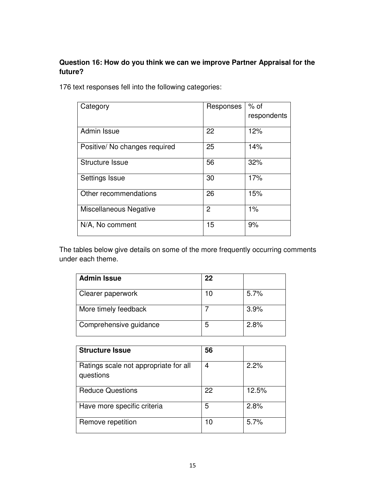# **Question 16: How do you think we can we improve Partner Appraisal for the future?**

176 text responses fell into the following categories:

| Category                      | Responses      | $%$ of      |
|-------------------------------|----------------|-------------|
|                               |                | respondents |
| Admin Issue                   | 22             | 12%         |
| Positive/ No changes required | 25             | 14%         |
| <b>Structure Issue</b>        | 56             | 32%         |
| Settings Issue                | 30             | 17%         |
| Other recommendations         | 26             | 15%         |
| Miscellaneous Negative        | $\overline{2}$ | 1%          |
| N/A, No comment               | 15             | 9%          |

The tables below give details on some of the more frequently occurring comments under each theme.

| <b>Admin Issue</b>     | 22 |      |
|------------------------|----|------|
| Clearer paperwork      | 10 | 5.7% |
| More timely feedback   |    | 3.9% |
| Comprehensive guidance | 5  | 2.8% |

| <b>Structure Issue</b>                             | 56 |       |
|----------------------------------------------------|----|-------|
| Ratings scale not appropriate for all<br>questions | 4  | 2.2%  |
| <b>Reduce Questions</b>                            | 22 | 12.5% |
| Have more specific criteria                        | 5  | 2.8%  |
| Remove repetition                                  | 10 | 5.7%  |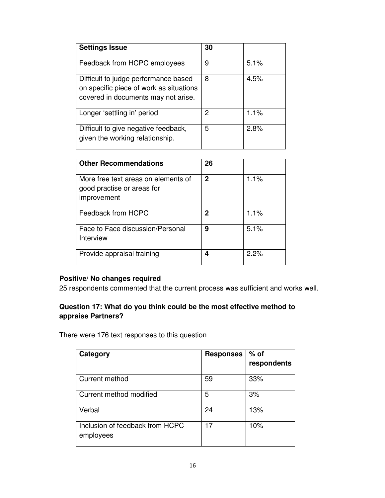| <b>Settings Issue</b>                                                                                                  | 30 |      |
|------------------------------------------------------------------------------------------------------------------------|----|------|
| Feedback from HCPC employees                                                                                           | 9  | 5.1% |
| Difficult to judge performance based<br>on specific piece of work as situations<br>covered in documents may not arise. | 8  | 4.5% |
| Longer 'settling in' period                                                                                            | 2  | 1.1% |
| Difficult to give negative feedback,<br>given the working relationship.                                                | 5  | 2.8% |

| <b>Other Recommendations</b>                                                     | 26 |      |
|----------------------------------------------------------------------------------|----|------|
| More free text areas on elements of<br>good practise or areas for<br>improvement | 2  | 1.1% |
| Feedback from HCPC                                                               | 2  | 1.1% |
| Face to Face discussion/Personal<br>Interview                                    | 9  | 5.1% |
| Provide appraisal training                                                       | 4  | 2.2% |

# **Positive/ No changes required**

25 respondents commented that the current process was sufficient and works well.

# **Question 17: What do you think could be the most effective method to appraise Partners?**

There were 176 text responses to this question

| Category                                     | <b>Responses</b> | $%$ of<br>respondents |
|----------------------------------------------|------------------|-----------------------|
| Current method                               | 59               | 33%                   |
| Current method modified                      | 5                | 3%                    |
| Verbal                                       | 24               | 13%                   |
| Inclusion of feedback from HCPC<br>employees | 17               | 10%                   |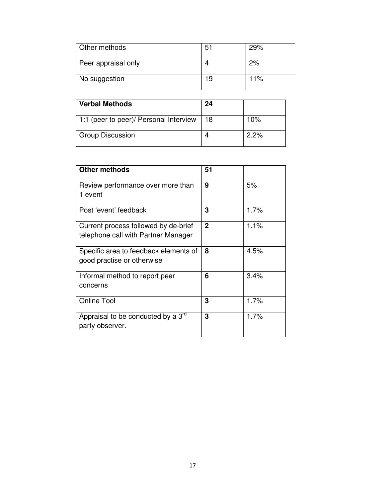| Other methods       | 51 | 29% |
|---------------------|----|-----|
| Peer appraisal only |    | 2%  |
| No suggestion       | 19 | 11% |

| <b>Verbal Methods</b>                  | 24 |      |
|----------------------------------------|----|------|
| 1:1 (peer to peer)/ Personal Interview | 18 | 10%  |
| <b>Group Discussion</b>                |    | 2.2% |

| <b>Other methods</b>                           | 51           |      |
|------------------------------------------------|--------------|------|
| Review performance over more than              | 9            | 5%   |
| 1 event                                        |              |      |
| Post 'event' feedback                          | 3            | 1.7% |
| Current process followed by de-brief           | $\mathbf{2}$ | 1.1% |
| telephone call with Partner Manager            |              |      |
| Specific area to feedback elements of          | 8            | 4.5% |
| good practise or otherwise                     |              |      |
| Informal method to report peer                 | 6            | 3.4% |
| concerns                                       |              |      |
| <b>Online Tool</b>                             | 3            | 1.7% |
| Appraisal to be conducted by a 3 <sup>rd</sup> | 3            | 1.7% |
| party observer.                                |              |      |
|                                                |              |      |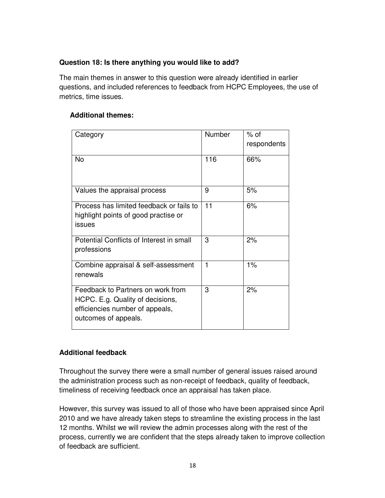## **Question 18: Is there anything you would like to add?**

The main themes in answer to this question were already identified in earlier questions, and included references to feedback from HCPC Employees, the use of metrics, time issues.

#### **Additional themes:**

| Category                                                                                                                         | Number | $%$ of<br>respondents |
|----------------------------------------------------------------------------------------------------------------------------------|--------|-----------------------|
| <b>No</b>                                                                                                                        | 116    | 66%                   |
| Values the appraisal process                                                                                                     | 9      | 5%                    |
| Process has limited feedback or fails to<br>highlight points of good practise or<br>issues                                       | 11     | 6%                    |
| Potential Conflicts of Interest in small<br>professions                                                                          | 3      | 2%                    |
| Combine appraisal & self-assessment<br>renewals                                                                                  | 1      | 1%                    |
| Feedback to Partners on work from<br>HCPC. E.g. Quality of decisions,<br>efficiencies number of appeals,<br>outcomes of appeals. | 3      | 2%                    |

# **Additional feedback**

Throughout the survey there were a small number of general issues raised around the administration process such as non-receipt of feedback, quality of feedback, timeliness of receiving feedback once an appraisal has taken place.

However, this survey was issued to all of those who have been appraised since April 2010 and we have already taken steps to streamline the existing process in the last 12 months. Whilst we will review the admin processes along with the rest of the process, currently we are confident that the steps already taken to improve collection of feedback are sufficient.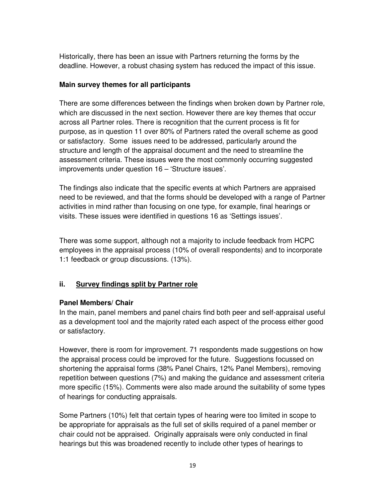Historically, there has been an issue with Partners returning the forms by the deadline. However, a robust chasing system has reduced the impact of this issue.

# **Main survey themes for all participants**

There are some differences between the findings when broken down by Partner role, which are discussed in the next section. However there are key themes that occur across all Partner roles. There is recognition that the current process is fit for purpose, as in question 11 over 80% of Partners rated the overall scheme as good or satisfactory. Some issues need to be addressed, particularly around the structure and length of the appraisal document and the need to streamline the assessment criteria. These issues were the most commonly occurring suggested improvements under question 16 – 'Structure issues'.

The findings also indicate that the specific events at which Partners are appraised need to be reviewed, and that the forms should be developed with a range of Partner activities in mind rather than focusing on one type, for example, final hearings or visits. These issues were identified in questions 16 as 'Settings issues'.

There was some support, although not a majority to include feedback from HCPC employees in the appraisal process (10% of overall respondents) and to incorporate 1:1 feedback or group discussions. (13%).

# **ii. Survey findings split by Partner role**

# **Panel Members/ Chair**

In the main, panel members and panel chairs find both peer and self-appraisal useful as a development tool and the majority rated each aspect of the process either good or satisfactory.

However, there is room for improvement. 71 respondents made suggestions on how the appraisal process could be improved for the future. Suggestions focussed on shortening the appraisal forms (38% Panel Chairs, 12% Panel Members), removing repetition between questions (7%) and making the guidance and assessment criteria more specific (15%). Comments were also made around the suitability of some types of hearings for conducting appraisals.

Some Partners (10%) felt that certain types of hearing were too limited in scope to be appropriate for appraisals as the full set of skills required of a panel member or chair could not be appraised. Originally appraisals were only conducted in final hearings but this was broadened recently to include other types of hearings to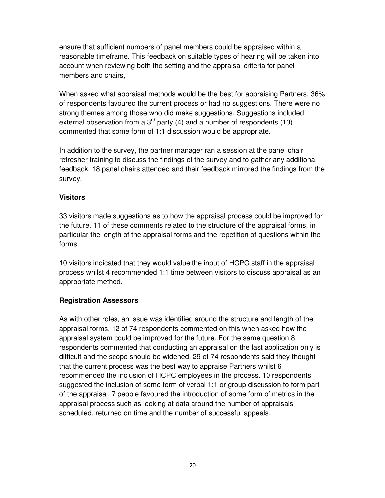ensure that sufficient numbers of panel members could be appraised within a reasonable timeframe. This feedback on suitable types of hearing will be taken into account when reviewing both the setting and the appraisal criteria for panel members and chairs,

When asked what appraisal methods would be the best for appraising Partners, 36% of respondents favoured the current process or had no suggestions. There were no strong themes among those who did make suggestions. Suggestions included external observation from a  $3<sup>rd</sup>$  party (4) and a number of respondents (13) commented that some form of 1:1 discussion would be appropriate.

In addition to the survey, the partner manager ran a session at the panel chair refresher training to discuss the findings of the survey and to gather any additional feedback. 18 panel chairs attended and their feedback mirrored the findings from the survey.

#### **Visitors**

33 visitors made suggestions as to how the appraisal process could be improved for the future. 11 of these comments related to the structure of the appraisal forms, in particular the length of the appraisal forms and the repetition of questions within the forms.

10 visitors indicated that they would value the input of HCPC staff in the appraisal process whilst 4 recommended 1:1 time between visitors to discuss appraisal as an appropriate method.

#### **Registration Assessors**

As with other roles, an issue was identified around the structure and length of the appraisal forms. 12 of 74 respondents commented on this when asked how the appraisal system could be improved for the future. For the same question 8 respondents commented that conducting an appraisal on the last application only is difficult and the scope should be widened. 29 of 74 respondents said they thought that the current process was the best way to appraise Partners whilst 6 recommended the inclusion of HCPC employees in the process. 10 respondents suggested the inclusion of some form of verbal 1:1 or group discussion to form part of the appraisal. 7 people favoured the introduction of some form of metrics in the appraisal process such as looking at data around the number of appraisals scheduled, returned on time and the number of successful appeals.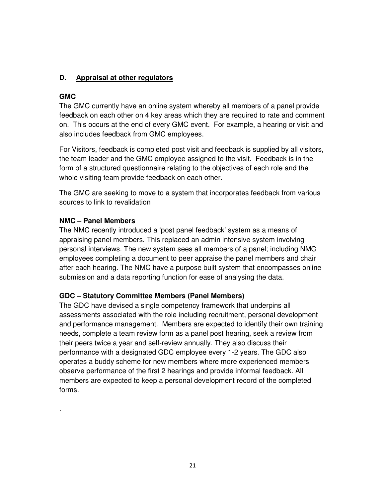# **D. Appraisal at other regulators**

#### **GMC**

.

The GMC currently have an online system whereby all members of a panel provide feedback on each other on 4 key areas which they are required to rate and comment on. This occurs at the end of every GMC event. For example, a hearing or visit and also includes feedback from GMC employees.

For Visitors, feedback is completed post visit and feedback is supplied by all visitors, the team leader and the GMC employee assigned to the visit. Feedback is in the form of a structured questionnaire relating to the objectives of each role and the whole visiting team provide feedback on each other.

The GMC are seeking to move to a system that incorporates feedback from various sources to link to revalidation

#### **NMC – Panel Members**

The NMC recently introduced a 'post panel feedback' system as a means of appraising panel members. This replaced an admin intensive system involving personal interviews. The new system sees all members of a panel; including NMC employees completing a document to peer appraise the panel members and chair after each hearing. The NMC have a purpose built system that encompasses online submission and a data reporting function for ease of analysing the data.

#### **GDC – Statutory Committee Members (Panel Members)**

The GDC have devised a single competency framework that underpins all assessments associated with the role including recruitment, personal development and performance management. Members are expected to identify their own training needs, complete a team review form as a panel post hearing, seek a review from their peers twice a year and self-review annually. They also discuss their performance with a designated GDC employee every 1-2 years. The GDC also operates a buddy scheme for new members where more experienced members observe performance of the first 2 hearings and provide informal feedback. All members are expected to keep a personal development record of the completed forms.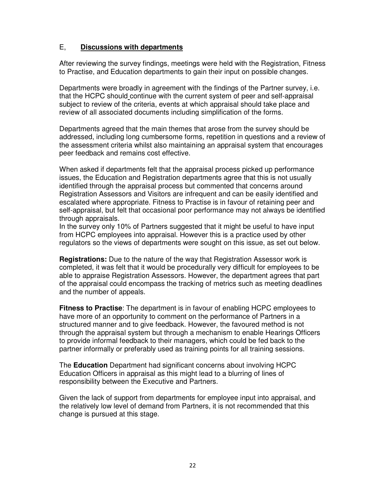#### E, **Discussions with departments**

After reviewing the survey findings, meetings were held with the Registration, Fitness to Practise, and Education departments to gain their input on possible changes.

Departments were broadly in agreement with the findings of the Partner survey, i.e. that the HCPC should continue with the current system of peer and self-appraisal subject to review of the criteria, events at which appraisal should take place and review of all associated documents including simplification of the forms.

Departments agreed that the main themes that arose from the survey should be addressed, including long cumbersome forms, repetition in questions and a review of the assessment criteria whilst also maintaining an appraisal system that encourages peer feedback and remains cost effective.

When asked if departments felt that the appraisal process picked up performance issues, the Education and Registration departments agree that this is not usually identified through the appraisal process but commented that concerns around Registration Assessors and Visitors are infrequent and can be easily identified and escalated where appropriate. Fitness to Practise is in favour of retaining peer and self-appraisal, but felt that occasional poor performance may not always be identified through appraisals.

In the survey only 10% of Partners suggested that it might be useful to have input from HCPC employees into appraisal. However this is a practice used by other regulators so the views of departments were sought on this issue, as set out below.

**Registrations:** Due to the nature of the way that Registration Assessor work is completed, it was felt that it would be procedurally very difficult for employees to be able to appraise Registration Assessors. However, the department agrees that part of the appraisal could encompass the tracking of metrics such as meeting deadlines and the number of appeals.

**Fitness to Practise**: The department is in favour of enabling HCPC employees to have more of an opportunity to comment on the performance of Partners in a structured manner and to give feedback. However, the favoured method is not through the appraisal system but through a mechanism to enable Hearings Officers to provide informal feedback to their managers, which could be fed back to the partner informally or preferably used as training points for all training sessions.

The **Education** Department had significant concerns about involving HCPC Education Officers in appraisal as this might lead to a blurring of lines of responsibility between the Executive and Partners.

Given the lack of support from departments for employee input into appraisal, and the relatively low level of demand from Partners, it is not recommended that this change is pursued at this stage.